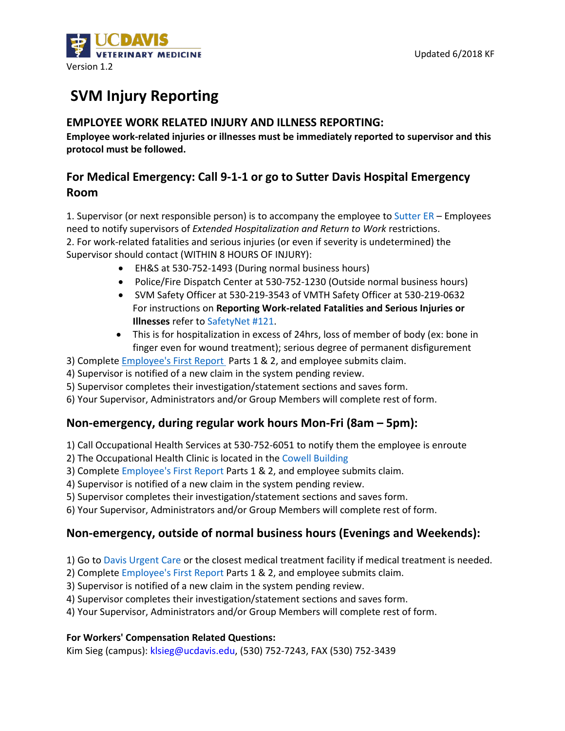

# **SVM Injury Reporting**

#### **EMPLOYEE WORK RELATED INJURY AND ILLNESS REPORTING:**

**Employee work-related injuries or illnesses must be immediately reported to supervisor and this protocol must be followed.** 

### **For Medical Emergency: Call 9-1-1 or go to Sutter Davis Hospital Emergency Room**

1. Supervisor (or next responsible person) is to accompany the employee to [Sutter ER](https://www.sutterhealth.org/find-location/facility/sutter-davis-hospital) – Employees need to notify supervisors of *Extended Hospitalization and Return to Work* restrictions. 2. For work-related fatalities and serious injuries (or even if severity is undetermined) the Supervisor should contact (WITHIN 8 HOURS OF INJURY):

- EH&S at 530-752-1493 (During normal business hours)
- Police/Fire Dispatch Center at 530-752-1230 (Outside normal business hours)
- SVM Safety Officer at 530-219-3543 of VMTH Safety Officer at 530-219-0632 For instructions on **Reporting Work-related Fatalities and Serious Injuries or Illnesses** refer to [SafetyNet #121.](https://safetyservices.ucdavis.edu/sites/default/files/documents/SafetyNet121.pdf)
- This is for hospitalization in excess of 24hrs, loss of member of body (ex: bone in finger even for wound treatment); serious degree of permanent disfigurement

3) Complete [Employee's First Report](https://ehs.ucop.edu/efr) Parts 1 & 2, and employee submits claim.

- 4) Supervisor is notified of a new claim in the system pending review.
- 5) Supervisor completes their investigation/statement sections and saves form.

6) Your Supervisor, Administrators and/or Group Members will complete rest of form.

#### **Non-emergency, during regular work hours Mon-Fri (8am – 5pm):**

1) Call Occupational Health Services at 530-752-6051 to notify them the employee is enroute

- 2) The Occupational Health Clinic is located in the [Cowell Building](http://campusmap.ucdavis.edu/?b=220)
- 3) Complete [Employee's First Report](https://ehs.ucop.edu/efr) Parts 1 & 2, and employee submits claim.
- 4) Supervisor is notified of a new claim in the system pending review.
- 5) Supervisor completes their investigation/statement sections and saves form.
- 6) Your Supervisor, Administrators and/or Group Members will complete rest of form.

#### **Non-emergency, outside of normal business hours (Evenings and Weekends):**

- 1) Go to [Davis Urgent Care](http://davisurgentcare.com/) or the closest medical treatment facility if medical treatment is needed.
- 2) Complete [Employee's First Report](https://ehs.ucop.edu/efr) Parts 1 & 2, and employee submits claim.
- 3) Supervisor is notified of a new claim in the system pending review.
- 4) Supervisor completes their investigation/statement sections and saves form.
- 4) Your Supervisor, Administrators and/or Group Members will complete rest of form.

#### **For Workers' Compensation Related Questions:**

Kim Sieg (campus): klsieg@ucdavis.edu, (530) 752-7243, FAX (530) 752-3439